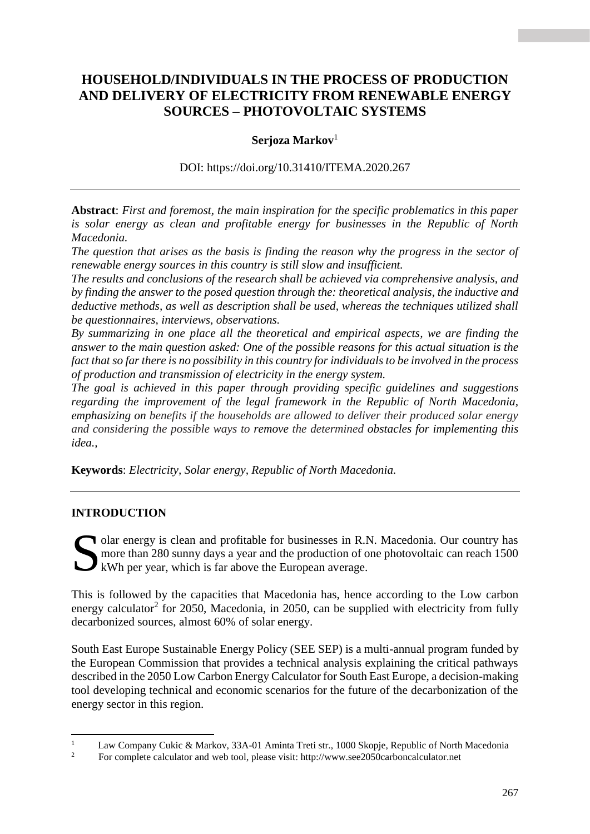# **HOUSEHOLD/INDIVIDUALS IN THE PROCESS OF PRODUCTION AND DELIVERY OF ELECTRICITY FROM RENEWABLE ENERGY SOURCES – PHOTOVOLTAIC SYSTEMS**

### **Serjoza Markov**<sup>1</sup>

DOI: <https://doi.org/10.31410/ITEMA.2020.267>

**Abstract**: *First and foremost, the main inspiration for the specific problematics in this paper is solar energy as clean and profitable energy for businesses in the Republic of North Macedonia.*

*The question that arises as the basis is finding the reason why the progress in the sector of renewable energy sources in this country is still slow and insufficient.* 

*The results and conclusions of the research shall be achieved via comprehensive analysis, and by finding the answer to the posed question through the: theoretical analysis, the inductive and deductive methods, as well as description shall be used, whereas the techniques utilized shall be questionnaires, interviews, observations.*

*By summarizing in one place all the theoretical and empirical aspects, we are finding the answer to the main question asked: One of the possible reasons for this actual situation is the fact that so far there is no possibility in this country for individuals to be involved in the process of production and transmission of electricity in the energy system.*

*The goal is achieved in this paper through providing specific guidelines and suggestions regarding the improvement of the legal framework in the Republic of North Macedonia, emphasizing on benefits if the households are allowed to deliver their produced solar energy and considering the possible ways to remove the determined obstacles for implementing this idea.,* 

**Keywords**: *Electricity, Solar energy, Republic of North Macedonia.*

### **INTRODUCTION**

olar energy is clean and profitable for businesses in R.N. Macedonia. Our country has more than 280 sunny days a year and the production of one photovoltaic can reach 1500 Solar energy is clean and profitable for businesses in R.I<br>
more than 280 sunny days a year and the production of  $\alpha$ <br>
kWh per year, which is far above the European average.

This is followed by the capacities that Macedonia has, hence according to the Low carbon energy calculator<sup>2</sup> for 2050, Macedonia, in 2050, can be supplied with electricity from fully decarbonized sources, almost 60% of solar energy.

South East Europe Sustainable Energy Policy (SEE SEP) is a multi-annual program funded by the European Commission that provides a technical analysis explaining the critical pathways described in the 2050 Low Carbon Energy Calculator for South East Europe, a decision-making tool developing technical and economic scenarios for the future of the decarbonization of the energy sector in this region.

 $\mathbf{1}$ <sup>1</sup> Law Company Cukic & Markov, 33A-01 Aminta Treti str., 1000 Skopje, Republic of North Macedonia<br><sup>2</sup> Equipments calculator and was tool places visity http://www.co. 2050.comboneslay.htm

<sup>2</sup> For complete calculator and web tool, please visit: http://www.see2050carboncalculator.net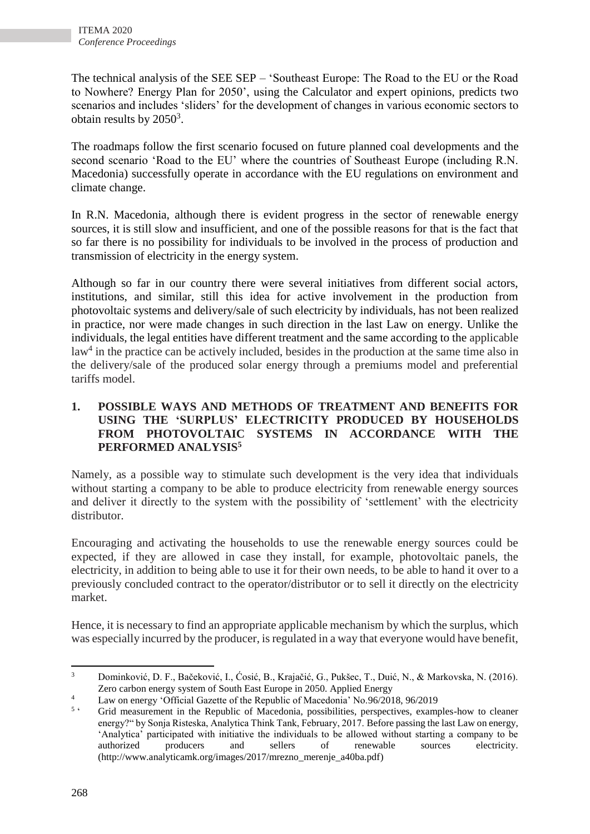The technical analysis of the SEE SEP – 'Southeast Europe: The Road to the EU or the Road to Nowhere? Energy Plan for 2050', using the Calculator and expert opinions, predicts two scenarios and includes 'sliders' for the development of changes in various economic sectors to obtain results by  $2050^3$ .

The roadmaps follow the first scenario focused on future planned coal developments and the second scenario 'Road to the EU' where the countries of Southeast Europe (including R.N. Macedonia) successfully operate in accordance with the EU regulations on environment and climate change.

In R.N. Macedonia, although there is evident progress in the sector of renewable energy sources, it is still slow and insufficient, and one of the possible reasons for that is the fact that so far there is no possibility for individuals to be involved in the process of production and transmission of electricity in the energy system.

Although so far in our country there were several initiatives from different social actors, institutions, and similar, still this idea for active involvement in the production from photovoltaic systems and delivery/sale of such electricity by individuals, has not been realized in practice, nor were made changes in such direction in the last Law on energy. Unlike the individuals, the legal entities have different treatment and the same according to the applicable law<sup>4</sup> in the practice can be actively included, besides in the production at the same time also in the delivery/sale of the produced solar energy through a premiums model and preferential tariffs model.

#### **1. POSSIBLE WAYS AND METHODS OF TREATMENT AND BENEFITS FOR USING THE 'SURPLUS' ELECTRICITY PRODUCED BY HOUSEHOLDS FROM PHOTOVOLTAIC SYSTEMS IN ACCORDANCE WITH THE PERFORMED ANALYSIS<sup>5</sup>**

Namely, as a possible way to stimulate such development is the very idea that individuals without starting a company to be able to produce electricity from renewable energy sources and deliver it directly to the system with the possibility of 'settlement' with the electricity distributor.

Encouraging and activating the households to use the renewable energy sources could be expected, if they are allowed in case they install, for example, photovoltaic panels, the electricity, in addition to being able to use it for their own needs, to be able to hand it over to a previously concluded contract to the operator/distributor or to sell it directly on the electricity market.

Hence, it is necessary to find an appropriate applicable mechanism by which the surplus, which was especially incurred by the producer, is regulated in a way that everyone would have benefit,

**<sup>.</sup>** <sup>3</sup> Dominković, D. F., Bačeković, I., Ćosić, B., Krajačić, G., Pukšec, T., Duić, N., & Markovska, N. (2016). Zero carbon energy system of South East Europe in 2050. Applied Energy

<sup>&</sup>lt;sup>4</sup> Law on energy 'Official Gazette of the Republic of Macedonia' No.96/2018, 96/2019

 $5<sup>1</sup>$ ' Grid measurement in the Republic of Macedonia, possibilities, perspectives, examples-how to cleaner energy?" by Sonja Risteska, Analytica Think Tank, February, 2017. Before passing the last Law on energy, 'Analytica' participated with initiative the individuals to be allowed without starting a company to be authorized producers and sellers of renewable sources electricity. [\(http://www.analyticamk.org/images/2017/mrezno\\_merenje\\_a40ba.pdf\)](https://www.analyticamk.org/images/2017/mrezno_merenje_a40ba.pdf)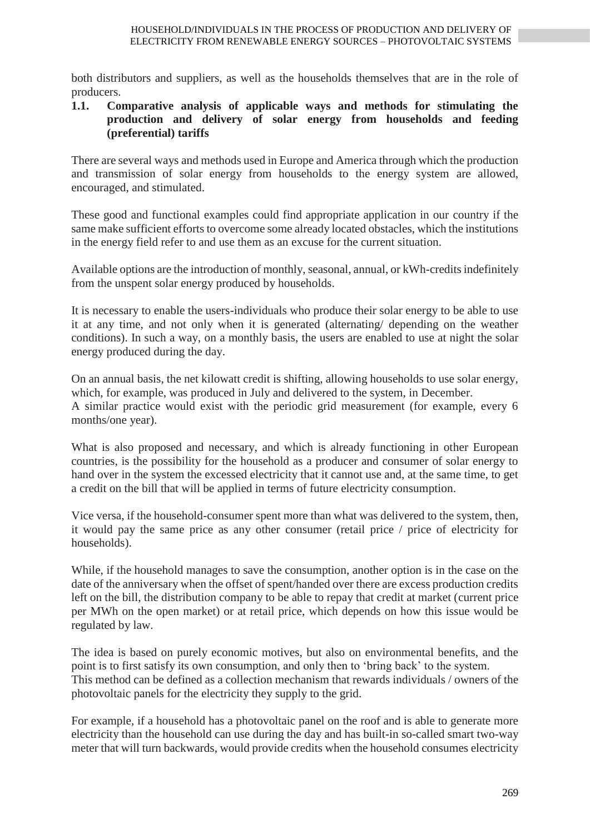both distributors and suppliers, as well as the households themselves that are in the role of producers.

#### **1.1. Comparative analysis of applicable ways and methods for stimulating the production and delivery of solar energy from households and feeding (preferential) tariffs**

There are several ways and methods used in Europe and America through which the production and transmission of solar energy from households to the energy system are allowed, encouraged, and stimulated.

These good and functional examples could find appropriate application in our country if the same make sufficient efforts to overcome some already located obstacles, which the institutions in the energy field refer to and use them as an excuse for the current situation.

Available options are the introduction of monthly, seasonal, annual, or kWh-credits indefinitely from the unspent solar energy produced by households.

It is necessary to enable the users-individuals who produce their solar energy to be able to use it at any time, and not only when it is generated (alternating/ depending on the weather conditions). In such a way, on a monthly basis, the users are enabled to use at night the solar energy produced during the day.

On an annual basis, the net kilowatt credit is shifting, allowing households to use solar energy, which, for example, was produced in July and delivered to the system, in December. A similar practice would exist with the periodic grid measurement (for example, every 6 months/one year).

What is also proposed and necessary, and which is already functioning in other European countries, is the possibility for the household as a producer and consumer of solar energy to hand over in the system the excessed electricity that it cannot use and, at the same time, to get a credit on the bill that will be applied in terms of future electricity consumption.

Vice versa, if the household-consumer spent more than what was delivered to the system, then, it would pay the same price as any other consumer (retail price / price of electricity for households).

While, if the household manages to save the consumption, another option is in the case on the date of the anniversary when the offset of spent/handed over there are excess production credits left on the bill, the distribution company to be able to repay that credit at market (current price per MWh on the open market) or at retail price, which depends on how this issue would be regulated by law.

The idea is based on purely economic motives, but also on environmental benefits, and the point is to first satisfy its own consumption, and only then to 'bring back' to the system. This method can be defined as a collection mechanism that rewards individuals / owners of the photovoltaic panels for the electricity they supply to the grid.

For example, if a household has a photovoltaic panel on the roof and is able to generate more electricity than the household can use during the day and has built-in so-called smart two-way meter that will turn backwards, would provide credits when the household consumes electricity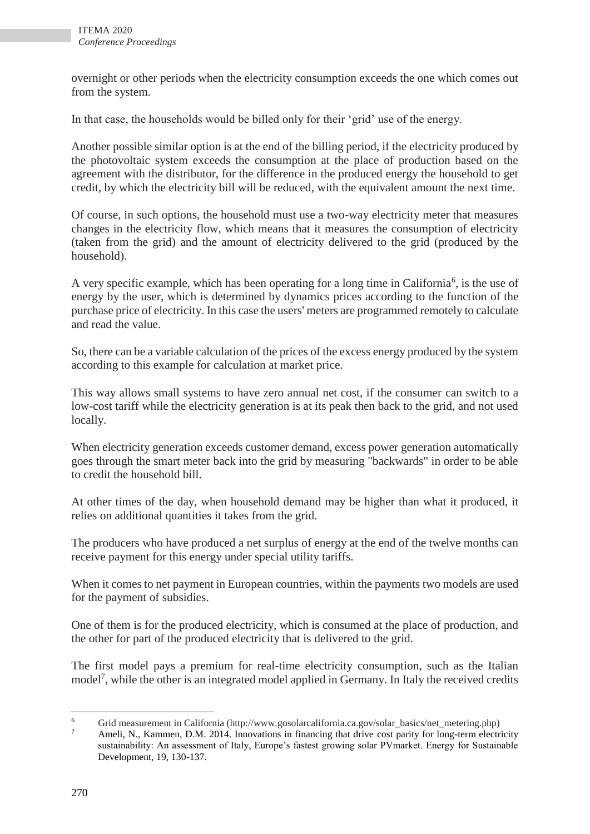overnight or other periods when the electricity consumption exceeds the one which comes out from the system.

In that case, the households would be billed only for their 'grid' use of the energy.

Another possible similar option is at the end of the billing period, if the electricity produced by the photovoltaic system exceeds the consumption at the place of production based on the agreement with the distributor, for the difference in the produced energy the household to get credit, by which the electricity bill will be reduced, with the equivalent amount the next time.

Of course, in such options, the household must use a two-way electricity meter that measures changes in the electricity flow, which means that it measures the consumption of electricity (taken from the grid) and the amount of electricity delivered to the grid (produced by the household).

A very specific example, which has been operating for a long time in California<sup>6</sup>, is the use of energy by the user, which is determined by dynamics prices according to the function of the purchase price of electricity. In this case the users' meters are programmed remotely to calculate and read the value.

So, there can be a variable calculation of the prices of the excess energy produced by the system according to this example for calculation at market price.

This way allows small systems to have zero annual net cost, if the consumer can switch to a low-cost tariff while the electricity generation is at its peak then back to the grid, and not used locally.

When electricity generation exceeds customer demand, excess power generation automatically goes through the smart meter back into the grid by measuring "backwards" in order to be able to credit the household bill.

At other times of the day, when household demand may be higher than what it produced, it relies on additional quantities it takes from the grid.

The producers who have produced a net surplus of energy at the end of the twelve months can receive payment for this energy under special utility tariffs.

When it comes to net payment in European countries, within the payments two models are used for the payment of subsidies.

One of them is for the produced electricity, which is consumed at the place of production, and the other for part of the produced electricity that is delivered to the grid.

The first model pays a premium for real-time electricity consumption, such as the Italian model<sup>7</sup>, while the other is an integrated model applied in Germany. In Italy the received credits

 $\overline{6}$ Grid measurement in California (http://www.gosolarcalifornia.ca.gov/solar\_basics/net\_metering.php)

Ameli, N., Kammen, D.M. 2014. Innovations in financing that drive cost parity for long-term electricity sustainability: An assessment of Italy, Europe's fastest growing solar PVmarket. Energy for Sustainable Development, 19, 130-137.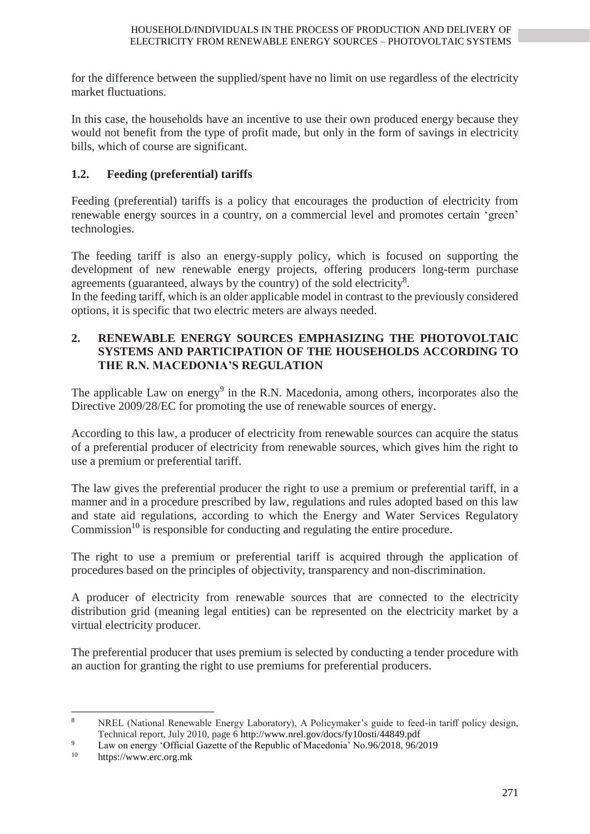for the difference between the supplied/spent have no limit on use regardless of the electricity market fluctuations.

In this case, the households have an incentive to use their own produced energy because they would not benefit from the type of profit made, but only in the form of savings in electricity bills, which of course are significant.

## **1.2. Feeding (preferential) tariffs**

Feeding (preferential) tariffs is a policy that encourages the production of electricity from renewable energy sources in a country, on a commercial level and promotes certain 'green' technologies.

The feeding tariff is also an energy-supply policy, which is focused on supporting the development of new renewable energy projects, offering producers long-term purchase agreements (guaranteed, always by the country) of the sold electricity<sup>8</sup>.

In the feeding tariff, which is an older applicable model in contrast to the previously considered options, it is specific that two electric meters are always needed.

### **2. RENEWABLE ENERGY SOURCES EMPHASIZING THE PHOTOVOLTAIC SYSTEMS AND PARTICIPATION OF THE HOUSEHOLDS ACCORDING TO THE R.N. MACEDONIA'S REGULATION**

The applicable Law on energy<sup>9</sup> in the R.N. Macedonia, among others, incorporates also the Directive 2009/28/EC for promoting the use of renewable sources of energy.

According to this law, a producer of electricity from renewable sources can acquire the status of a preferential producer of electricity from renewable sources, which gives him the right to use a premium or preferential tariff.

The law gives the preferential producer the right to use a premium or preferential tariff, in a manner and in a procedure prescribed by law, regulations and rules adopted based on this law and state aid regulations, according to which the Energy and Water Services Regulatory Commission<sup>10</sup> is responsible for conducting and regulating the entire procedure.

The right to use a premium or preferential tariff is acquired through the application of procedures based on the principles of objectivity, transparency and non-discrimination.

A producer of electricity from renewable sources that are connected to the electricity distribution grid (meaning legal entities) can be represented on the electricity market by a virtual electricity producer.

The preferential producer that uses premium is selected by conducting a tender procedure with an auction for granting the right to use premiums for preferential producers.

 $\,$  8  $\,$ NREL (National Renewable Energy Laboratory), A Policymaker's guide to feed-in tariff policy design. Technical report, July 2010, page 6 http://www.nrel.gov/docs/fy10osti/44849.pdf

<sup>9&</sup>lt;br>Law on energy 'Official Gazette of the Republic of Macedonia' No.96/2018, 96/2019<br>https://www.org.org.mk

https://www.erc.org.mk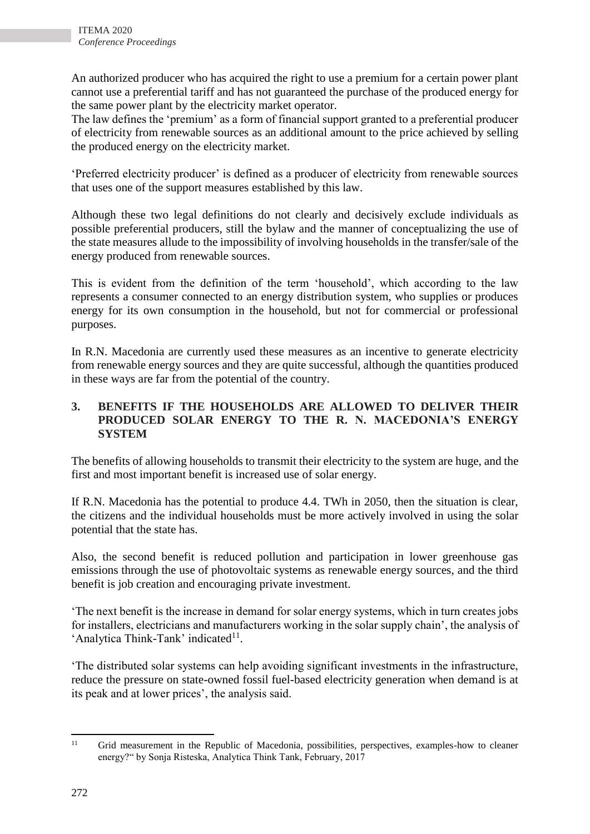An authorized producer who has acquired the right to use a premium for a certain power plant cannot use a preferential tariff and has not guaranteed the purchase of the produced energy for the same power plant by the electricity market operator.

The law defines the 'premium' as a form of financial support granted to a preferential producer of electricity from renewable sources as an additional amount to the price achieved by selling the produced energy on the electricity market.

'Preferred electricity producer' is defined as a producer of electricity from renewable sources that uses one of the support measures established by this law.

Although these two legal definitions do not clearly and decisively exclude individuals as possible preferential producers, still the bylaw and the manner of conceptualizing the use of the state measures allude to the impossibility of involving households in the transfer/sale of the energy produced from renewable sources.

This is evident from the definition of the term 'household', which according to the law represents a consumer connected to an energy distribution system, who supplies or produces energy for its own consumption in the household, but not for commercial or professional purposes.

In R.N. Macedonia are currently used these measures as an incentive to generate electricity from renewable energy sources and they are quite successful, although the quantities produced in these ways are far from the potential of the country.

### **3. BENEFITS IF THE HOUSEHOLDS ARE ALLOWED TO DELIVER THEIR PRODUCED SOLAR ENERGY TO THE R. N. MACEDONIA'S ENERGY SYSTEM**

The benefits of allowing households to transmit their electricity to the system are huge, and the first and most important benefit is increased use of solar energy.

If R.N. Macedonia has the potential to produce 4.4. TWh in 2050, then the situation is clear, the citizens and the individual households must be more actively involved in using the solar potential that the state has.

Also, the second benefit is reduced pollution and participation in lower greenhouse gas emissions through the use of photovoltaic systems as renewable energy sources, and the third benefit is job creation and encouraging private investment.

'The next benefit is the increase in demand for solar energy systems, which in turn creates jobs for installers, electricians and manufacturers working in the solar supply chain', the analysis of 'Analytica Think-Tank' indicated<sup>11</sup>.

'The distributed solar systems can help avoiding significant investments in the infrastructure, reduce the pressure on state-owned fossil fuel-based electricity generation when demand is at its peak and at lower prices', the analysis said.

 $11$ Grid measurement in the Republic of Macedonia, possibilities, perspectives, examples-how to cleaner energy?" by Sonja Risteska, Analytica Think Tank, February, 2017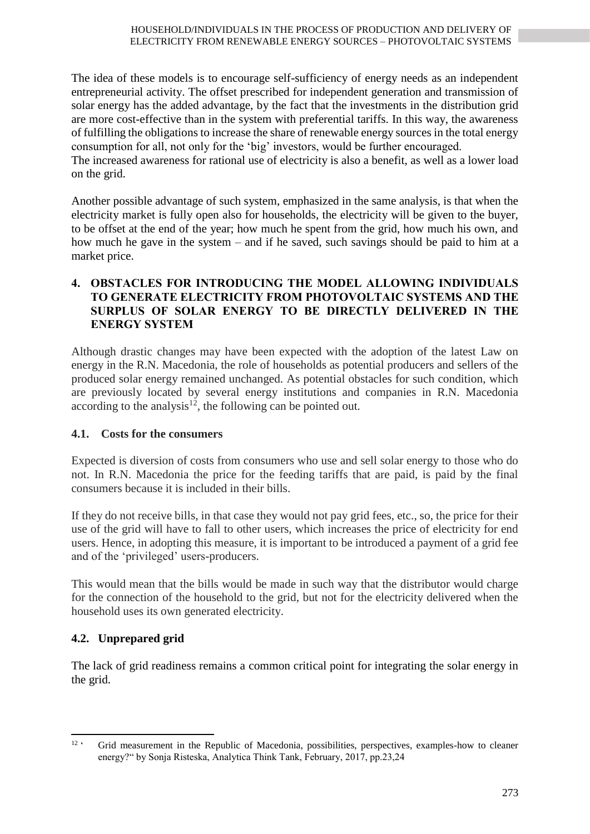The idea of these models is to encourage self-sufficiency of energy needs as an independent entrepreneurial activity. The offset prescribed for independent generation and transmission of solar energy has the added advantage, by the fact that the investments in the distribution grid are more cost-effective than in the system with preferential tariffs. In this way, the awareness of fulfilling the obligations to increase the share of renewable energy sources in the total energy consumption for all, not only for the 'big' investors, would be further encouraged.

The increased awareness for rational use of electricity is also a benefit, as well as a lower load on the grid.

Another possible advantage of such system, emphasized in the same analysis, is that when the electricity market is fully open also for households, the electricity will be given to the buyer, to be offset at the end of the year; how much he spent from the grid, how much his own, and how much he gave in the system – and if he saved, such savings should be paid to him at a market price.

#### **4. OBSTACLES FOR INTRODUCING THE MODEL ALLOWING INDIVIDUALS TO GENERATE ELECTRICITY FROM PHOTOVOLTAIC SYSTEMS AND THE SURPLUS OF SOLAR ENERGY TO BE DIRECTLY DELIVERED IN THE ENERGY SYSTEM**

Although drastic changes may have been expected with the adoption of the latest Law on energy in the R.N. Macedonia, the role of households as potential producers and sellers of the produced solar energy remained unchanged. As potential obstacles for such condition, which are previously located by several energy institutions and companies in R.N. Macedonia according to the analysis<sup>12</sup>, the following can be pointed out.

### **4.1. Costs for the consumers**

Expected is diversion of costs from consumers who use and sell solar energy to those who do not. In R.N. Macedonia the price for the feeding tariffs that are paid, is paid by the final consumers because it is included in their bills.

If they do not receive bills, in that case they would not pay grid fees, etc., so, the price for their use of the grid will have to fall to other users, which increases the price of electricity for end users. Hence, in adopting this measure, it is important to be introduced a payment of a grid fee and of the 'privileged' users-producers.

This would mean that the bills would be made in such way that the distributor would charge for the connection of the household to the grid, but not for the electricity delivered when the household uses its own generated electricity.

## **4.2. Unprepared grid**

The lack of grid readiness remains a common critical point for integrating the solar energy in the grid.

 $\frac{1}{12}$ Grid measurement in the Republic of Macedonia, possibilities, perspectives, examples-how to cleaner energy?" by Sonja Risteska, Analytica Think Tank, February, 2017, pp.23,24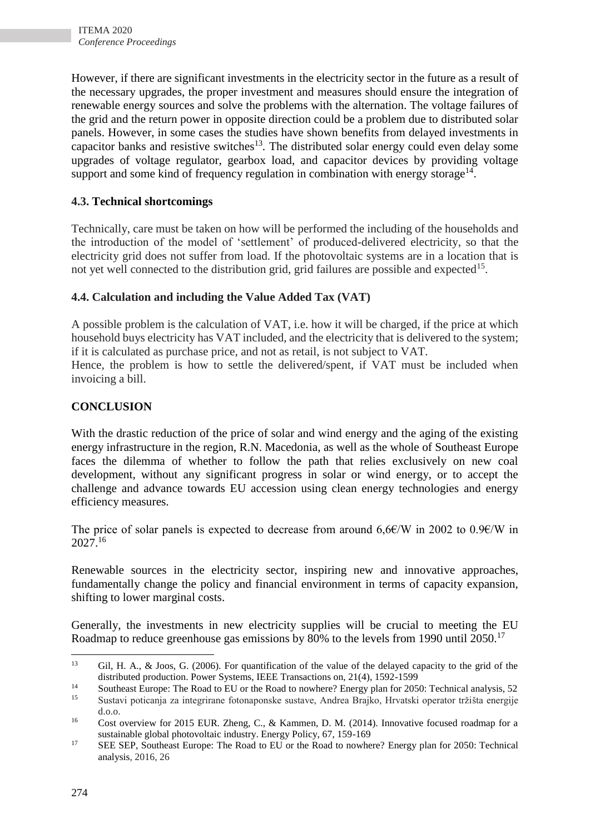However, if there are significant investments in the electricity sector in the future as a result of the necessary upgrades, the proper investment and measures should ensure the integration of renewable energy sources and solve the problems with the alternation. The voltage failures of the grid and the return power in opposite direction could be a problem due to distributed solar panels. However, in some cases the studies have shown benefits from delayed investments in capacitor banks and resistive switches<sup>13</sup>. The distributed solar energy could even delay some upgrades of voltage regulator, gearbox load, and capacitor devices by providing voltage support and some kind of frequency regulation in combination with energy storage $^{14}$ .

## **4.3. Technical shortcomings**

Technically, care must be taken on how will be performed the including of the households and the introduction of the model of 'settlement' of produced-delivered electricity, so that the electricity grid does not suffer from load. If the photovoltaic systems are in a location that is not yet well connected to the distribution grid, grid failures are possible and expected<sup>15</sup>.

### **4.4. Calculation and including the Value Added Tax (VAT)**

A possible problem is the calculation of VAT, i.e. how it will be charged, if the price at which household buys electricity has VAT included, and the electricity that is delivered to the system; if it is calculated as purchase price, and not as retail, is not subject to VAT.

Hence, the problem is how to settle the delivered/spent, if VAT must be included when invoicing a bill.

### **CONCLUSION**

With the drastic reduction of the price of solar and wind energy and the aging of the existing energy infrastructure in the region, R.N. Macedonia, as well as the whole of Southeast Europe faces the dilemma of whether to follow the path that relies exclusively on new coal development, without any significant progress in solar or wind energy, or to accept the challenge and advance towards EU accession using clean energy technologies and energy efficiency measures.

The price of solar panels is expected to decrease from around 6,6 $\epsilon$ /W in 2002 to 0.9 $\epsilon$ /W in 2027.<sup>16</sup>

Renewable sources in the electricity sector, inspiring new and innovative approaches, fundamentally change the policy and financial environment in terms of capacity expansion, shifting to lower marginal costs.

Generally, the investments in new electricity supplies will be crucial to meeting the EU Roadmap to reduce greenhouse gas emissions by 80% to the levels from 1990 until 2050.<sup>17</sup>

 $\overline{a}$ 

<sup>13</sup> Gil, H. A., & Joos, G. (2006). For quantification of the value of the delayed capacity to the grid of the distributed production. Power Systems, IEEE Transactions on, 21(4), 1592-1599

<sup>&</sup>lt;sup>14</sup> Southeast Europe: The Road to EU or the Road to nowhere? Energy plan for 2050: Technical analysis, 52<br><sup>15</sup> System potionais as integrirons fotographics sustave. Andres Prejke, Hursteli operator trivide operation <sup>15</sup> Sustavi poticanja za integrirane fotonaponske sustave, Andrea Brajko, Hrvatski operator tržišta energije d.o.o.

<sup>&</sup>lt;sup>16</sup> Cost overview for 2015 EUR. Zheng, C., & Kammen, D. M. (2014). Innovative focused roadmap for a sustainable global photovoltaic industry. Energy Policy, 67, 159-169

<sup>&</sup>lt;sup>17</sup> SEE SEP, Southeast Europe: The Road to EU or the Road to nowhere? Energy plan for 2050: Technical analysis, 2016, 26